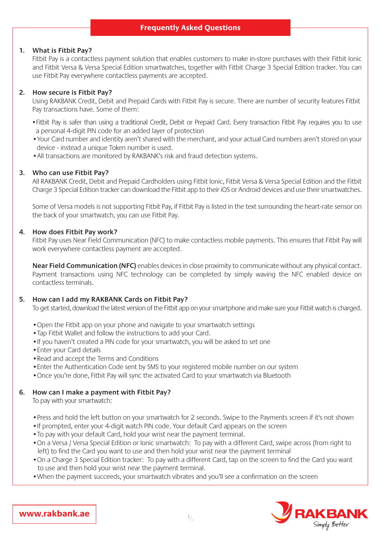# **Frequently Asked Questions**

#### **1. What is Fitbit Pay?**

 Fitbit Pay is a contactless payment solution that enables customers to make in-store purchases with their Fitbit Ionic and Fitbit Versa & Versa Special Edition smartwatches, together with Fitbit Charge 3 Special Edition tracker. You can use Fitbit Pay everywhere contactless payments are accepted.

#### **2. How secure is Fitbit Pay?**

 Using RAKBANK Credit, Debit and Prepaid Cards with Fitbit Pay is secure. There are number of security features Fitbit Pay transactions have. Some of them:

- •Fitbit Pay is safer than using a traditional Credit, Debit or Prepaid Card. Every transaction Fitbit Pay requires you to use a personal 4-digit PIN code for an added layer of protection
- •Your Card number and identity aren't shared with the merchant, and your actual Card numbers aren't stored on your device - instead a unique Token number is used.
- •All transactions are monitored by RAKBANK's risk and fraud detection systems.

#### **3. Who can use Fitbit Pay?**

 All RAKBANK Credit, Debit and Prepaid Cardholders using Fitbit Ionic, Fitbit Versa & Versa Special Edition and the Fitbit Charge 3 Special Edition tracker can download the Fitbit app to their iOS or Android devices and use their smartwatches.

 Some of Versa models is not supporting Fitbit Pay, if Fitbit Pay is listed in the text surrounding the heart-rate sensor on the back of your smartwatch, you can use Fitbit Pay.

#### **4. How does Fitbit Pay work?**

 Fitbit Pay uses Near Field Communication (NFC) to make contactless mobile payments. This ensures that Fitbit Pay will work everywhere contactless payment are accepted.

**Near Field Communication (NFC)** enables devices in close proximity to communicate without any physical contact. Payment transactions using NFC technology can be completed by simply waving the NFC enabled device on contactless terminals.

### **5. How can I add my RAKBANK Cards on Fitbit Pay?**

To get started, download the latest version of the Fitbit app on your smartphone and make sure your Fitbit watch is charged.

- •Open the Fitbit app on your phone and navigate to your smartwatch settings
- •Tap Fitbit Wallet and follow the instructions to add your Card.
- •If you haven't created a PIN code for your smartwatch, you will be asked to set one
- •Enter your Card details
- •Read and accept the Terms and Conditions
- •Enter the Authentication Code sent by SMS to your registered mobile number on our system
- •Once you're done, Fitbit Pay will sync the activated Card to your smartwatch via Bluetooth

### **6. How can I make a payment with Fitbit Pay?**

To pay with your smartwatch:

- •Press and hold the left button on your smartwatch for 2 seconds. Swipe to the Payments screen if it's not shown
- •If prompted, enter your 4-digit watch PIN code. Your default Card appears on the screen
- •To pay with your default Card, hold your wrist near the payment terminal.
- •On a Versa / Versa Special Edition or Ionic smartwatch: To pay with a different Card, swipe across (from right to left) to find the Card you want to use and then hold your wrist near the payment terminal
- •On a Charge 3 Special Edition tracker: To pay with a different Card, tap on the screen to find the Card you want to use and then hold your wrist near the payment terminal.
- •When the payment succeeds, your smartwatch vibrates and you'll see a confirmation on the screen



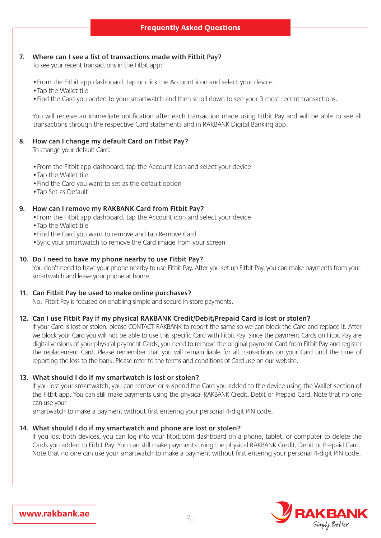## **7. Where can I see a list of transactions made with Fitbit Pay?**

To see your recent transactions in the Fitbit app:

- •From the Fitbit app dashboard, tap or click the Account icon and select your device
- •Tap the Wallet tile
- •Find the Card you added to your smartwatch and then scroll down to see your 3 most recent transactions.

 You will receive an immediate notification after each transaction made using Fitbit Pay and will be able to see all transactions through the respective Card statements and in RAKBANK Digital Banking app.

#### **8. How can I change my default Card on Fitbit Pay?**

To change your default Card:

- •From the Fitbit app dashboard, tap the Account icon and select your device
- •Tap the Wallet tile
- •Find the Card you want to set as the default option
- •Tap Set as Default

### **9. How can I remove my RAKBANK Card from Fitbit Pay?**

- •From the Fitbit app dashboard, tap the Account icon and select your device
- •Tap the Wallet tile
- •Find the Card you want to remove and tap Remove Card
- •Sync your smartwatch to remove the Card image from your screen

### **10. Do I need to have my phone nearby to use Fitbit Pay?**

 You don't need to have your phone nearby to use Fitbit Pay. After you set up Fitbit Pay, you can make payments from your smartwatch and leave your phone at home.

### **11. Can Fitbit Pay be used to make online purchases?**

No. Fitbit Pay is focused on enabling simple and secure in-store payments.

### **12. Can I use Fitbit Pay if my physical RAKBANK Credit/Debit/Prepaid Card is lost or stolen?**

 If your Card is lost or stolen, please CONTACT RAKBANK to report the same so we can block the Card and replace it. After we block your Card you will not be able to use this specific Card with Fitbit Pay. Since the payment Cards on Fitbit Pay are digital versions of your physical payment Cards, you need to remove the original payment Card from Fitbit Pay and register the replacement Card. Please remember that you will remain liable for all transactions on your Card until the time of reporting the loss to the bank. Please refer to the terms and conditions of Card use on our website.

#### **13. What should I do if my smartwatch is lost or stolen?**

 If you lost your smartwatch, you can remove or suspend the Card you added to the device using the Wallet section of the Fitbit app. You can still make payments using the physical RAKBANK Credit, Debit or Prepaid Card. Note that no one can use your

smartwatch to make a payment without first entering your personal 4-digit PIN code.

### **14. What should I do if my smartwatch and phone are lost or stolen?**

 If you lost both devices, you can log into your fitbit.com dashboard on a phone, tablet, or computer to delete the Cards you added to Fitbit Pay. You can still make payments using the physical RAKBANK Credit, Debit or Prepaid Card. Note that no one can use your smartwatch to make a payment without first entering your personal 4-digit PIN code.

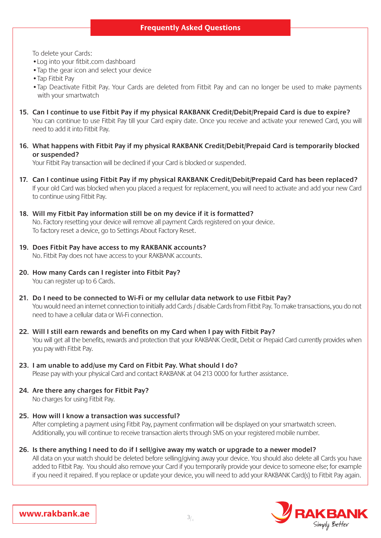To delete your Cards:

- •Log into your fitbit.com dashboard
- Tap the gear icon and select your device
- •Tap Fitbit Pay
- •Tap Deactivate Fitbit Pay. Your Cards are deleted from Fitbit Pay and can no longer be used to make payments with your smartwatch
- **15. Can I continue to use Fitbit Pay if my physical RAKBANK Credit/Debit/Prepaid Card is due to expire?**  You can continue to use Fitbit Pay till your Card expiry date. Once you receive and activate your renewed Card, you will need to add it into Fitbit Pay.
- **16. What happens with Fitbit Pay if my physical RAKBANK Credit/Debit/Prepaid Card is temporarily blocked or suspended?**

Your Fitbit Pay transaction will be declined if your Card is blocked or suspended.

- **17. Can I continue using Fitbit Pay if my physical RAKBANK Credit/Debit/Prepaid Card has been replaced?**  If your old Card was blocked when you placed a request for replacement, you will need to activate and add your new Card to continue using Fitbit Pay.
- **18. Will my Fitbit Pay information still be on my device if it is formatted?**  No. Factory resetting your device will remove all payment Cards registered on your device. To factory reset a device, go to Settings About Factory Reset.
- **19. Does Fitbit Pay have access to my RAKBANK accounts?**  No. Fitbit Pay does not have access to your RAKBANK accounts.
- **20. How many Cards can I register into Fitbit Pay?**  You can register up to 6 Cards.
- **21. Do I need to be connected to Wi-Fi or my cellular data network to use Fitbit Pay?**  You would need an internet connection to initially add Cards / disable Cards from Fitbit Pay. To make transactions, you do not need to have a cellular data or Wi-Fi connection.
- **22. Will I still earn rewards and benefits on my Card when I pay with Fitbit Pay?**  You will get all the benefits, rewards and protection that your RAKBANK Credit, Debit or Prepaid Card currently provides when you pay with Fitbit Pay.
- **23. I am unable to add/use my Card on Fitbit Pay. What should I do?**  Please pay with your physical Card and contact RAKBANK at 04 213 0000 for further assistance.
- **24. Are there any charges for Fitbit Pay?** No charges for using Fitbit Pay.
- **25. How will I know a transaction was successful?**

 After completing a payment using Fitbit Pay, payment confirmation will be displayed on your smartwatch screen. Additionally, you will continue to receive transaction alerts through SMS on your registered mobile number.

**26. Is there anything I need to do if I sell/give away my watch or upgrade to a newer model?** All data on your watch should be deleted before selling/giving away your device. You should also delete all Cards you have added to Fitbit Pay. You should also remove your Card if you temporarily provide your device to someone else; for example if you need it repaired. If you replace or update your device, you will need to add your RAKBANK Card(s) to Fitbit Pay again.